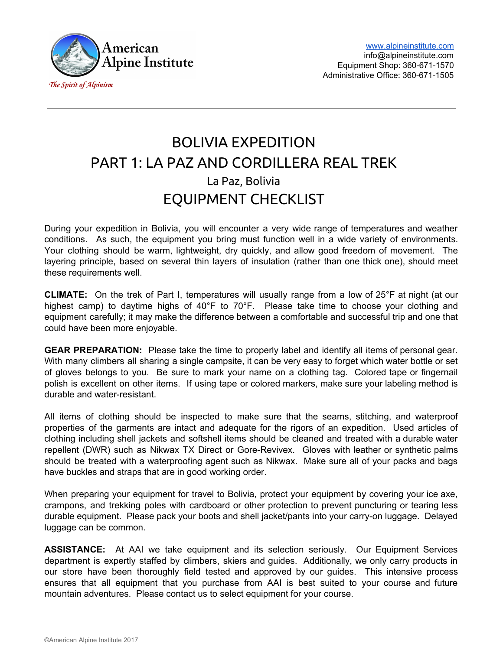

# BOLIVIA EXPEDITION PART 1: LA PAZ AND CORDILLERA REAL TREK La Paz, Bolivia EQUIPMENT CHECKLIST

During your expedition in Bolivia, you will encounter a very wide range of temperatures and weather conditions. As such, the equipment you bring must function well in a wide variety of environments. Your clothing should be warm, lightweight, dry quickly, and allow good freedom of movement. The layering principle, based on several thin layers of insulation (rather than one thick one), should meet these requirements well.

**CLIMATE:** On the trek of Part I, temperatures will usually range from a low of 25°F at night (at our highest camp) to daytime highs of 40°F to 70°F. Please take time to choose your clothing and equipment carefully; it may make the difference between a comfortable and successful trip and one that could have been more enjoyable.

**GEAR PREPARATION:** Please take the time to properly label and identify all items of personal gear. With many climbers all sharing a single campsite, it can be very easy to forget which water bottle or set of gloves belongs to you. Be sure to mark your name on a clothing tag. Colored tape or fingernail polish is excellent on other items. If using tape or colored markers, make sure your labeling method is durable and water-resistant.

All items of clothing should be inspected to make sure that the seams, stitching, and waterproof properties of the garments are intact and adequate for the rigors of an expedition. Used articles of clothing including shell jackets and softshell items should be cleaned and treated with a durable water repellent (DWR) such as Nikwax TX Direct or Gore-Revivex. Gloves with leather or synthetic palms should be treated with a waterproofing agent such as Nikwax. Make sure all of your packs and bags have buckles and straps that are in good working order.

When preparing your equipment for travel to Bolivia, protect your equipment by covering your ice axe, crampons, and trekking poles with cardboard or other protection to prevent puncturing or tearing less durable equipment. Please pack your boots and shell jacket/pants into your carry-on luggage. Delayed luggage can be common.

**ASSISTANCE:** At AAI we take equipment and its selection seriously. Our Equipment Services department is expertly staffed by climbers, skiers and guides. Additionally, we only carry products in our store have been thoroughly field tested and approved by our guides. This intensive process ensures that all equipment that you purchase from AAI is best suited to your course and future mountain adventures. Please contact us to select equipment for your course.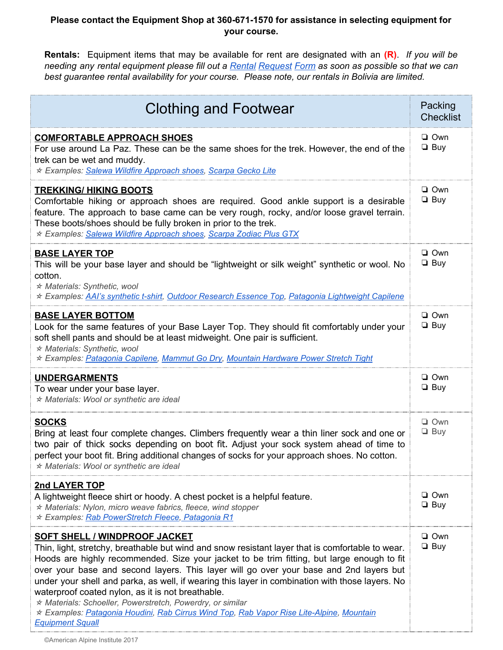## **Please contact the Equipment Shop at 360-671-1570 for assistance in selecting equipment for your course.**

**Rentals:** Equipment items that may be available for rent are designated with an **(R)**. *If you will be* needing any rental equipment please fill out a Rental [Request](https://alpineinstitute.wufoo.com/forms/aai-a-equipment-rental-form-colorado/) Form as soon as possible so that we can *best guarantee rental availability for your course. Please note, our rentals in Bolivia are limited.*

| <b>Clothing and Footwear</b>                                                                                                                                                                                                                                                                                                                                                                                                                                                                                                                                                                                                                                                  | Packing<br><b>Checklist</b> |
|-------------------------------------------------------------------------------------------------------------------------------------------------------------------------------------------------------------------------------------------------------------------------------------------------------------------------------------------------------------------------------------------------------------------------------------------------------------------------------------------------------------------------------------------------------------------------------------------------------------------------------------------------------------------------------|-----------------------------|
| <b>COMFORTABLE APPROACH SHOES</b><br>For use around La Paz. These can be the same shoes for the trek. However, the end of the<br>trek can be wet and muddy.<br>* Examples: Salewa Wildfire Approach shoes, Scarpa Gecko Lite                                                                                                                                                                                                                                                                                                                                                                                                                                                  | $\Box$ Own<br>$\Box$ Buy    |
| <b>TREKKING/ HIKING BOOTS</b><br>Comfortable hiking or approach shoes are required. Good ankle support is a desirable<br>feature. The approach to base came can be very rough, rocky, and/or loose gravel terrain.<br>These boots/shoes should be fully broken in prior to the trek.<br>* Examples: Salewa Wildfire Approach shoes, Scarpa Zodiac Plus GTX                                                                                                                                                                                                                                                                                                                    | $\Box$ Own<br>$\Box$ Buy    |
| <b>BASE LAYER TOP</b><br>This will be your base layer and should be "lightweight or silk weight" synthetic or wool. No<br>cotton.<br>* Materials: Synthetic, wool<br>* Examples: AAI's synthetic t-shirt, Outdoor Research Essence Top, Patagonia Lightweight Capilene                                                                                                                                                                                                                                                                                                                                                                                                        | $\Box$ Own<br>$\Box$ Buy    |
| <b>BASE LAYER BOTTOM</b><br>Look for the same features of your Base Layer Top. They should fit comfortably under your<br>soft shell pants and should be at least midweight. One pair is sufficient.<br>* Materials: Synthetic, wool<br>* Examples: Patagonia Capilene, Mammut Go Dry, Mountain Hardware Power Stretch Tight                                                                                                                                                                                                                                                                                                                                                   | $\Box$ Own<br>$\Box$ Buy    |
| <b>UNDERGARMENTS</b><br>To wear under your base layer.<br>* Materials: Wool or synthetic are ideal                                                                                                                                                                                                                                                                                                                                                                                                                                                                                                                                                                            | $\Box$ Own<br>$\Box$ Buy    |
| <b>SOCKS</b><br>Bring at least four complete changes. Climbers frequently wear a thin liner sock and one or<br>two pair of thick socks depending on boot fit. Adjust your sock system ahead of time to<br>perfect your boot fit. Bring additional changes of socks for your approach shoes. No cotton.<br>* Materials: Wool or synthetic are ideal                                                                                                                                                                                                                                                                                                                            | $\Box$ Own<br>$\Box$ Buy    |
| 2nd LAYER TOP<br>A lightweight fleece shirt or hoody. A chest pocket is a helpful feature.<br>$*$ Materials: Nylon, micro weave fabrics, fleece, wind stopper<br>* Examples: Rab PowerStretch Fleece, Patagonia R1                                                                                                                                                                                                                                                                                                                                                                                                                                                            | $\Box$ Own<br>$\Box$ Buy    |
| <b>SOFT SHELL / WINDPROOF JACKET</b><br>Thin, light, stretchy, breathable but wind and snow resistant layer that is comfortable to wear.<br>Hoods are highly recommended. Size your jacket to be trim fitting, but large enough to fit<br>over your base and second layers. This layer will go over your base and 2nd layers but<br>under your shell and parka, as well, if wearing this layer in combination with those layers. No<br>waterproof coated nylon, as it is not breathable.<br>* Materials: Schoeller, Powerstretch, Powerdry, or similar<br>★ Examples: Patagonia Houdini, Rab Cirrus Wind Top, Rab Vapor Rise Lite-Alpine, Mountain<br><b>Equipment Squall</b> | $\Box$ Own<br>$\Box$ Buy    |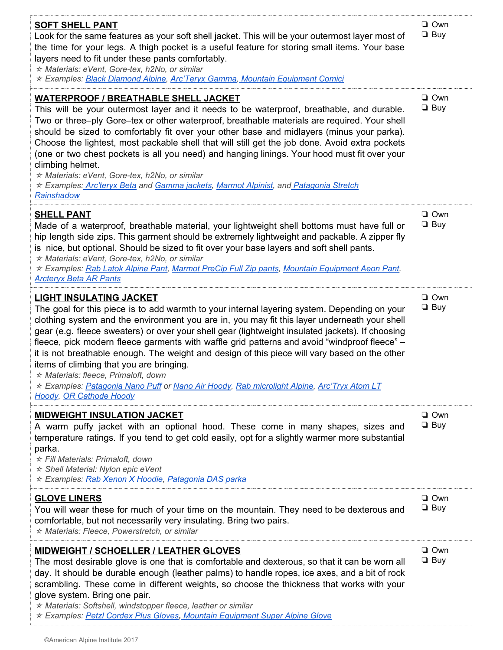| <b>SOFT SHELL PANT</b><br>Look for the same features as your soft shell jacket. This will be your outermost layer most of<br>the time for your legs. A thigh pocket is a useful feature for storing small items. Your base<br>layers need to fit under these pants comfortably.<br>* Materials: eVent, Gore-tex, h2No, or similar<br>* Examples: Black Diamond Alpine, Arc'Teryx Gamma, Mountain Equipment Comici                                                                                                                                                                                                                                                                                                                                       | $\Box$ Own<br>$\Box$ Buy |
|---------------------------------------------------------------------------------------------------------------------------------------------------------------------------------------------------------------------------------------------------------------------------------------------------------------------------------------------------------------------------------------------------------------------------------------------------------------------------------------------------------------------------------------------------------------------------------------------------------------------------------------------------------------------------------------------------------------------------------------------------------|--------------------------|
| <b>WATERPROOF / BREATHABLE SHELL JACKET</b><br>This will be your outermost layer and it needs to be waterproof, breathable, and durable.<br>Two or three-ply Gore-tex or other waterproof, breathable materials are required. Your shell<br>should be sized to comfortably fit over your other base and midlayers (minus your parka).<br>Choose the lightest, most packable shell that will still get the job done. Avoid extra pockets<br>(one or two chest pockets is all you need) and hanging linings. Your hood must fit over your<br>climbing helmet.<br>* Materials: eVent, Gore-tex, h2No, or similar<br>* Examples: Arc'teryx Beta and Gamma jackets, Marmot Alpinist, and Patagonia Stretch<br>Rainshadow                                     | $\Box$ Own<br>$\Box$ Buy |
| <b>SHELL PANT</b><br>Made of a waterproof, breathable material, your lightweight shell bottoms must have full or<br>hip length side zips. This garment should be extremely lightweight and packable. A zipper fly<br>is nice, but optional. Should be sized to fit over your base layers and soft shell pants.<br>* Materials: eVent, Gore-tex, h2No, or similar<br>* Examples: Rab Latok Alpine Pant, Marmot PreCip Full Zip pants, Mountain Equipment Aeon Pant,<br><b>Arcteryx Beta AR Pants</b>                                                                                                                                                                                                                                                     | $\Box$ Own<br>$\Box$ Buy |
| <b>LIGHT INSULATING JACKET</b><br>The goal for this piece is to add warmth to your internal layering system. Depending on your<br>clothing system and the environment you are in, you may fit this layer underneath your shell<br>gear (e.g. fleece sweaters) or over your shell gear (lightweight insulated jackets). If choosing<br>fleece, pick modern fleece garments with waffle grid patterns and avoid "windproof fleece" -<br>it is not breathable enough. The weight and design of this piece will vary based on the other<br>items of climbing that you are bringing.<br>* Materials: fleece, Primaloft, down<br>* Examples: Patagonia Nano Puff or Nano Air Hoody, Rab microlight Alpine, Arc'Tryx Atom LT<br><b>Hoody, OR Cathode Hoody</b> | $\Box$ Own<br>$\Box$ Buy |
| <b>MIDWEIGHT INSULATION JACKET</b><br>A warm puffy jacket with an optional hood. These come in many shapes, sizes and<br>temperature ratings. If you tend to get cold easily, opt for a slightly warmer more substantial<br>parka.<br>★ Fill Materials: Primaloft, down<br>★ Shell Material: Nylon epic eVent<br>* Examples: Rab Xenon X Hoodie, Patagonia DAS parka                                                                                                                                                                                                                                                                                                                                                                                    | $\Box$ Own<br>$\Box$ Buy |
| <b>GLOVE LINERS</b><br>You will wear these for much of your time on the mountain. They need to be dexterous and<br>comfortable, but not necessarily very insulating. Bring two pairs.<br>* Materials: Fleece, Powerstretch, or similar                                                                                                                                                                                                                                                                                                                                                                                                                                                                                                                  | $\Box$ Own<br>$\Box$ Buy |
| <b>MIDWEIGHT / SCHOELLER / LEATHER GLOVES</b><br>The most desirable glove is one that is comfortable and dexterous, so that it can be worn all<br>day. It should be durable enough (leather palms) to handle ropes, ice axes, and a bit of rock<br>scrambling. These come in different weights, so choose the thickness that works with your<br>glove system. Bring one pair.<br>* Materials: Softshell, windstopper fleece, leather or similar<br>★ Examples: Petzl Cordex Plus Gloves, Mountain Equipment Super Alpine Glove                                                                                                                                                                                                                          | $\Box$ Own<br>$\Box$ Buy |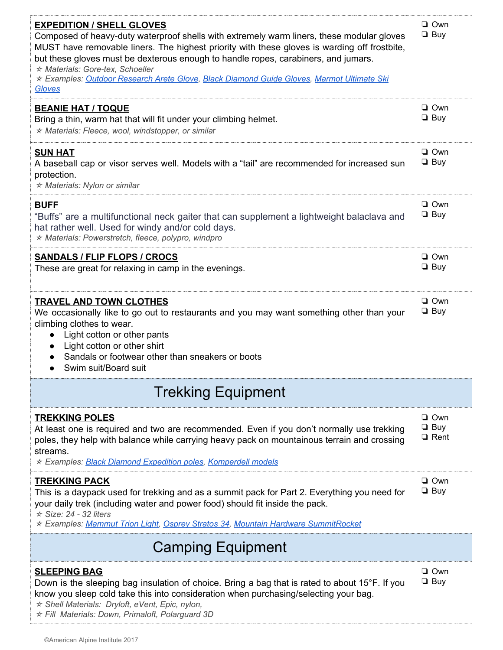| <b>EXPEDITION / SHELL GLOVES</b><br>Composed of heavy-duty waterproof shells with extremely warm liners, these modular gloves<br>MUST have removable liners. The highest priority with these gloves is warding off frostbite,<br>but these gloves must be dexterous enough to handle ropes, carabiners, and jumars.<br>* Materials: Gore-tex, Schoeller<br>* Examples: Outdoor Research Arete Glove, Black Diamond Guide Gloves, Marmot Ultimate Ski<br>Gloves | $\Box$ Own<br>$\Box$ Buy                |
|----------------------------------------------------------------------------------------------------------------------------------------------------------------------------------------------------------------------------------------------------------------------------------------------------------------------------------------------------------------------------------------------------------------------------------------------------------------|-----------------------------------------|
| <b>BEANIE HAT / TOQUE</b><br>Bring a thin, warm hat that will fit under your climbing helmet.<br>* Materials: Fleece, wool, windstopper, or similar                                                                                                                                                                                                                                                                                                            | $\Box$ Own<br>$\Box$ Buy                |
| <b>SUN HAT</b><br>A baseball cap or visor serves well. Models with a "tail" are recommended for increased sun<br>protection.<br>★ Materials: Nylon or similar                                                                                                                                                                                                                                                                                                  | $\Box$ Own<br>$\Box$ Buy                |
| <b>BUFF</b><br>"Buffs" are a multifunctional neck gaiter that can supplement a lightweight balaclava and<br>hat rather well. Used for windy and/or cold days.<br>* Materials: Powerstretch, fleece, polypro, windpro                                                                                                                                                                                                                                           | $\Box$ Own<br>$\Box$ Buy                |
| <b>SANDALS / FLIP FLOPS / CROCS</b><br>These are great for relaxing in camp in the evenings.                                                                                                                                                                                                                                                                                                                                                                   | $\Box$ Own<br>$\Box$ Buy                |
| <b>TRAVEL AND TOWN CLOTHES</b><br>We occasionally like to go out to restaurants and you may want something other than your<br>climbing clothes to wear.<br>• Light cotton or other pants<br>Light cotton or other shirt<br>Sandals or footwear other than sneakers or boots<br>Swim suit/Board suit                                                                                                                                                            | $\Box$ Own<br>$\Box$ Buy                |
| <b>Trekking Equipment</b>                                                                                                                                                                                                                                                                                                                                                                                                                                      |                                         |
| <b>TREKKING POLES</b><br>At least one is required and two are recommended. Even if you don't normally use trekking<br>poles, they help with balance while carrying heavy pack on mountainous terrain and crossing<br>streams.<br>* Examples: Black Diamond Expedition poles, Komperdell models                                                                                                                                                                 | $\Box$ Own<br>$\Box$ Buy<br>$\Box$ Rent |
| <b>TREKKING PACK</b><br>This is a daypack used for trekking and as a summit pack for Part 2. Everything you need for<br>your daily trek (including water and power food) should fit inside the pack.<br>$\star$ Size: 24 - 32 liters<br>* Examples: Mammut Trion Light, Osprey Stratos 34, Mountain Hardware SummitRocket                                                                                                                                      | $\Box$ Own<br>$\Box$ Buy                |
| <b>Camping Equipment</b>                                                                                                                                                                                                                                                                                                                                                                                                                                       |                                         |
| <b>SLEEPING BAG</b><br>Down is the sleeping bag insulation of choice. Bring a bag that is rated to about 15°F. If you<br>know you sleep cold take this into consideration when purchasing/selecting your bag.<br>* Shell Materials: Dryloft, eVent, Epic, nylon,<br>* Fill Materials: Down, Primaloft, Polarguard 3D                                                                                                                                           | $\Box$ Own<br>$\Box$ Buy                |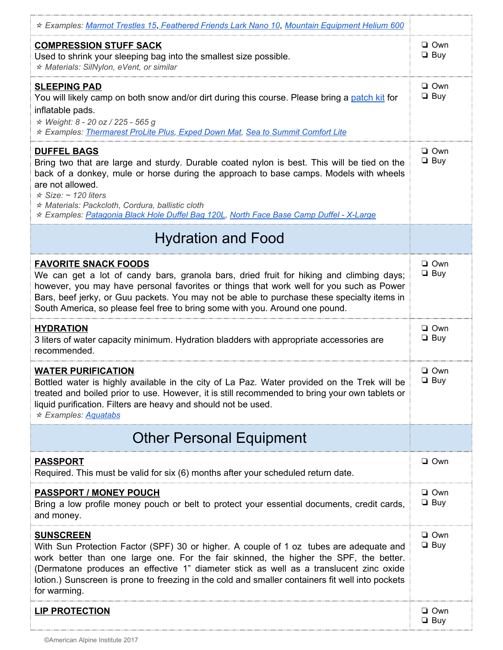| ★ Examples: Marmot Trestles 15, Feathered Friends Lark Nano 10, Mountain Equipment Helium 600                                                                                                                                                                                                                                                                                                                     |                          |
|-------------------------------------------------------------------------------------------------------------------------------------------------------------------------------------------------------------------------------------------------------------------------------------------------------------------------------------------------------------------------------------------------------------------|--------------------------|
| <b>COMPRESSION STUFF SACK</b><br>Used to shrink your sleeping bag into the smallest size possible.<br>* Materials: SilNylon, eVent, or similar                                                                                                                                                                                                                                                                    | $\Box$ Own<br>$\Box$ Buy |
| <b>SLEEPING PAD</b><br>You will likely camp on both snow and/or dirt during this course. Please bring a patch kit for<br>inflatable pads.<br>★ Weight: 8 - 20 oz / 225 - 565 g<br>* Examples: Thermarest ProLite Plus, Exped Down Mat, Sea to Summit Comfort Lite                                                                                                                                                 | $\Box$ Own<br>$\Box$ Buy |
| <b>DUFFEL BAGS</b><br>Bring two that are large and sturdy. Durable coated nylon is best. This will be tied on the<br>back of a donkey, mule or horse during the approach to base camps. Models with wheels<br>are not allowed.<br>$\star$ Size: ~ 120 liters<br>* Materials: Packcloth, Cordura, ballistic cloth<br>★ Examples: Patagonia Black Hole Duffel Bag 120L, North Face Base Camp Duffel - X-Large       | $\Box$ Own<br>$\Box$ Buy |
| <b>Hydration and Food</b>                                                                                                                                                                                                                                                                                                                                                                                         |                          |
| <b>FAVORITE SNACK FOODS</b><br>We can get a lot of candy bars, granola bars, dried fruit for hiking and climbing days;<br>however, you may have personal favorites or things that work well for you such as Power<br>Bars, beef jerky, or Guu packets. You may not be able to purchase these specialty items in<br>South America, so please feel free to bring some with you. Around one pound.                   | $\Box$ Own<br>$\Box$ Buy |
| <b>HYDRATION</b><br>3 liters of water capacity minimum. Hydration bladders with appropriate accessories are<br>recommended.                                                                                                                                                                                                                                                                                       | $\Box$ Own<br>$\Box$ Buy |
| <b>WATER PURIFICATION</b><br>Bottled water is highly available in the city of La Paz. Water provided on the Trek will be<br>treated and boiled prior to use. However, it is still recommended to bring your own tablets or<br>liquid purification. Filters are heavy and should not be used.<br>$\star$ Examples: Aquatabs                                                                                        | $\Box$ Own<br>$\Box$ Buy |
| <b>Other Personal Equipment</b>                                                                                                                                                                                                                                                                                                                                                                                   |                          |
| <u>PASSPORT</u><br>Required. This must be valid for six (6) months after your scheduled return date.                                                                                                                                                                                                                                                                                                              | □ Own                    |
| <b>PASSPORT / MONEY POUCH</b><br>Bring a low profile money pouch or belt to protect your essential documents, credit cards,<br>and money.                                                                                                                                                                                                                                                                         | $\Box$ Own<br>$\Box$ Buy |
| <b>SUNSCREEN</b><br>With Sun Protection Factor (SPF) 30 or higher. A couple of 1 oz tubes are adequate and<br>work better than one large one. For the fair skinned, the higher the SPF, the better.<br>(Dermatone produces an effective 1" diameter stick as well as a translucent zinc oxide<br>lotion.) Sunscreen is prone to freezing in the cold and smaller containers fit well into pockets<br>for warming. | $\Box$ Own<br>$\Box$ Buy |
| <b>LIP PROTECTION</b>                                                                                                                                                                                                                                                                                                                                                                                             | $\Box$ Own<br>$\Box$ Buy |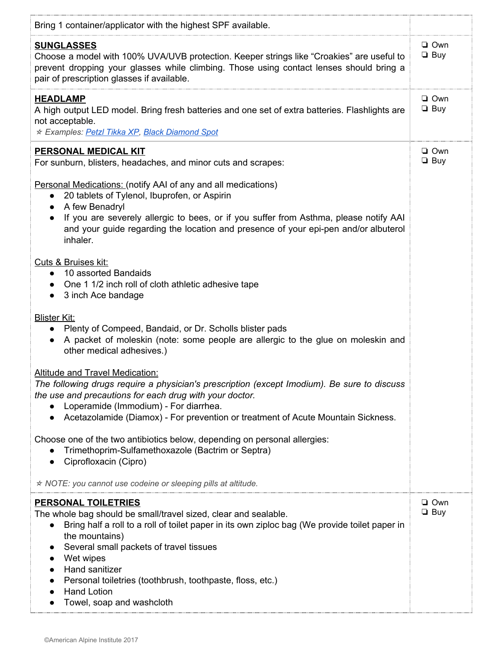| Bring 1 container/applicator with the highest SPF available.                                                                                                                                                                                                                                                                                                                                                                                                                             |                          |
|------------------------------------------------------------------------------------------------------------------------------------------------------------------------------------------------------------------------------------------------------------------------------------------------------------------------------------------------------------------------------------------------------------------------------------------------------------------------------------------|--------------------------|
| <b>SUNGLASSES</b><br>Choose a model with 100% UVA/UVB protection. Keeper strings like "Croakies" are useful to<br>prevent dropping your glasses while climbing. Those using contact lenses should bring a<br>pair of prescription glasses if available.                                                                                                                                                                                                                                  | $\Box$ Own<br>$\Box$ Buy |
| <b>HEADLAMP</b><br>A high output LED model. Bring fresh batteries and one set of extra batteries. Flashlights are<br>not acceptable.<br>* Examples: Petzl Tikka XP, Black Diamond Spot                                                                                                                                                                                                                                                                                                   | □ Own<br>$\Box$ Buy      |
| PERSONAL MEDICAL KIT<br>For sunburn, blisters, headaches, and minor cuts and scrapes:                                                                                                                                                                                                                                                                                                                                                                                                    | □ Own<br>$\Box$ Buy      |
| <b>Personal Medications:</b> (notify AAI of any and all medications)<br>20 tablets of Tylenol, Ibuprofen, or Aspirin<br>$\bullet$<br>A few Benadryl<br>$\bullet$<br>If you are severely allergic to bees, or if you suffer from Asthma, please notify AAI<br>and your guide regarding the location and presence of your epi-pen and/or albuterol<br>inhaler.                                                                                                                             |                          |
| Cuts & Bruises kit:<br>10 assorted Bandaids<br>$\bullet$<br>One 1 1/2 inch roll of cloth athletic adhesive tape<br>3 inch Ace bandage<br>$\bullet$                                                                                                                                                                                                                                                                                                                                       |                          |
| <b>Blister Kit:</b><br>Plenty of Compeed, Bandaid, or Dr. Scholls blister pads<br>A packet of moleskin (note: some people are allergic to the glue on moleskin and<br>other medical adhesives.)                                                                                                                                                                                                                                                                                          |                          |
| <b>Altitude and Travel Medication:</b><br>The following drugs require a physician's prescription (except Imodium). Be sure to discuss<br>the use and precautions for each drug with your doctor.<br>Loperamide (Immodium) - For diarrhea.<br>Acetazolamide (Diamox) - For prevention or treatment of Acute Mountain Sickness.                                                                                                                                                            |                          |
| Choose one of the two antibiotics below, depending on personal allergies:<br>Trimethoprim-Sulfamethoxazole (Bactrim or Septra)<br>Ciprofloxacin (Cipro)                                                                                                                                                                                                                                                                                                                                  |                          |
| $\star$ NOTE: you cannot use codeine or sleeping pills at altitude.                                                                                                                                                                                                                                                                                                                                                                                                                      |                          |
| <b>PERSONAL TOILETRIES</b><br>The whole bag should be small/travel sized, clear and sealable.<br>Bring half a roll to a roll of toilet paper in its own ziploc bag (We provide toilet paper in<br>$\bullet$<br>the mountains)<br>Several small packets of travel tissues<br>$\bullet$<br>Wet wipes<br>$\bullet$<br>Hand sanitizer<br>$\bullet$<br>Personal toiletries (toothbrush, toothpaste, floss, etc.)<br>$\bullet$<br><b>Hand Lotion</b><br>$\bullet$<br>Towel, soap and washcloth | $\Box$ Own<br>$\Box$ Buy |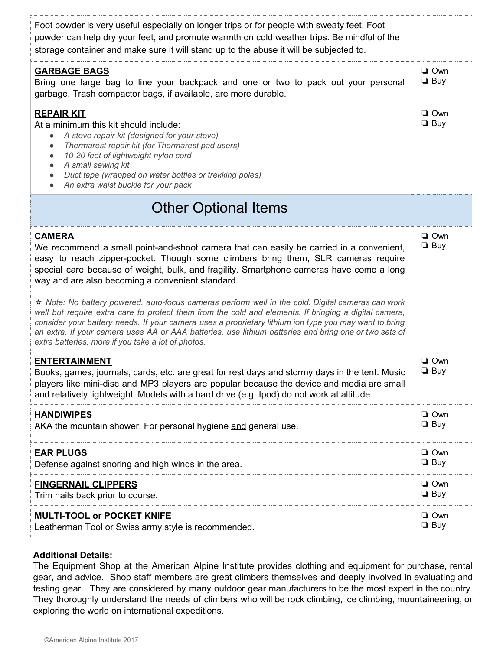| Foot powder is very useful especially on longer trips or for people with sweaty feet. Foot<br>powder can help dry your feet, and promote warmth on cold weather trips. Be mindful of the<br>storage container and make sure it will stand up to the abuse it will be subjected to.                                                                                                                                                                                                                                                                                                                                                                                                                                                                                                                                                  |                          |
|-------------------------------------------------------------------------------------------------------------------------------------------------------------------------------------------------------------------------------------------------------------------------------------------------------------------------------------------------------------------------------------------------------------------------------------------------------------------------------------------------------------------------------------------------------------------------------------------------------------------------------------------------------------------------------------------------------------------------------------------------------------------------------------------------------------------------------------|--------------------------|
| <b>GARBAGE BAGS</b><br>Bring one large bag to line your backpack and one or two to pack out your personal<br>garbage. Trash compactor bags, if available, are more durable.                                                                                                                                                                                                                                                                                                                                                                                                                                                                                                                                                                                                                                                         | $\Box$ Own<br>$\Box$ Buy |
| <b>REPAIR KIT</b><br>At a minimum this kit should include:<br>A stove repair kit (designed for your stove)<br>Thermarest repair kit (for Thermarest pad users)<br>$\bullet$<br>10-20 feet of lightweight nylon cord<br>$\bullet$<br>A small sewing kit<br>Duct tape (wrapped on water bottles or trekking poles)<br>An extra waist buckle for your pack                                                                                                                                                                                                                                                                                                                                                                                                                                                                             | $\Box$ Own<br>$\Box$ Buy |
| <b>Other Optional Items</b>                                                                                                                                                                                                                                                                                                                                                                                                                                                                                                                                                                                                                                                                                                                                                                                                         |                          |
| <b>CAMERA</b><br>We recommend a small point-and-shoot camera that can easily be carried in a convenient,<br>easy to reach zipper-pocket. Though some climbers bring them, SLR cameras require<br>special care because of weight, bulk, and fragility. Smartphone cameras have come a long<br>way and are also becoming a convenient standard.<br>* Note: No battery powered, auto-focus cameras perform well in the cold. Digital cameras can work<br>well but require extra care to protect them from the cold and elements. If bringing a digital camera,<br>consider your battery needs. If your camera uses a proprietary lithium ion type you may want to bring<br>an extra. If your camera uses AA or AAA batteries, use lithium batteries and bring one or two sets of<br>extra batteries, more if you take a lot of photos. | $\Box$ Own<br>$\Box$ Buy |
| <b>ENTERTAINMENT</b><br>Books, games, journals, cards, etc. are great for rest days and stormy days in the tent. Music<br>players like mini-disc and MP3 players are popular because the device and media are small<br>and relatively lightweight. Models with a hard drive (e.g. Ipod) do not work at altitude.                                                                                                                                                                                                                                                                                                                                                                                                                                                                                                                    | $\Box$ Own<br>$\Box$ Buy |
| <b>HANDIWIPES</b><br>AKA the mountain shower. For personal hygiene and general use.                                                                                                                                                                                                                                                                                                                                                                                                                                                                                                                                                                                                                                                                                                                                                 | $\Box$ Own<br>$\Box$ Buy |
| <b>EAR PLUGS</b><br>Defense against snoring and high winds in the area.                                                                                                                                                                                                                                                                                                                                                                                                                                                                                                                                                                                                                                                                                                                                                             | $\Box$ Own<br>$\Box$ Buy |
| <b>FINGERNAIL CLIPPERS</b><br>Trim nails back prior to course.                                                                                                                                                                                                                                                                                                                                                                                                                                                                                                                                                                                                                                                                                                                                                                      | $\Box$ Own<br>$\Box$ Buy |
| <b>MULTI-TOOL or POCKET KNIFE</b><br>Leatherman Tool or Swiss army style is recommended.                                                                                                                                                                                                                                                                                                                                                                                                                                                                                                                                                                                                                                                                                                                                            | $\Box$ Own<br>$\Box$ Buy |

### **Additional Details:**

The Equipment Shop at the American Alpine Institute provides clothing and equipment for purchase, rental gear, and advice. Shop staff members are great climbers themselves and deeply involved in evaluating and testing gear. They are considered by many outdoor gear manufacturers to be the most expert in the country. They thoroughly understand the needs of climbers who will be rock climbing, ice climbing, mountaineering, or exploring the world on international expeditions.